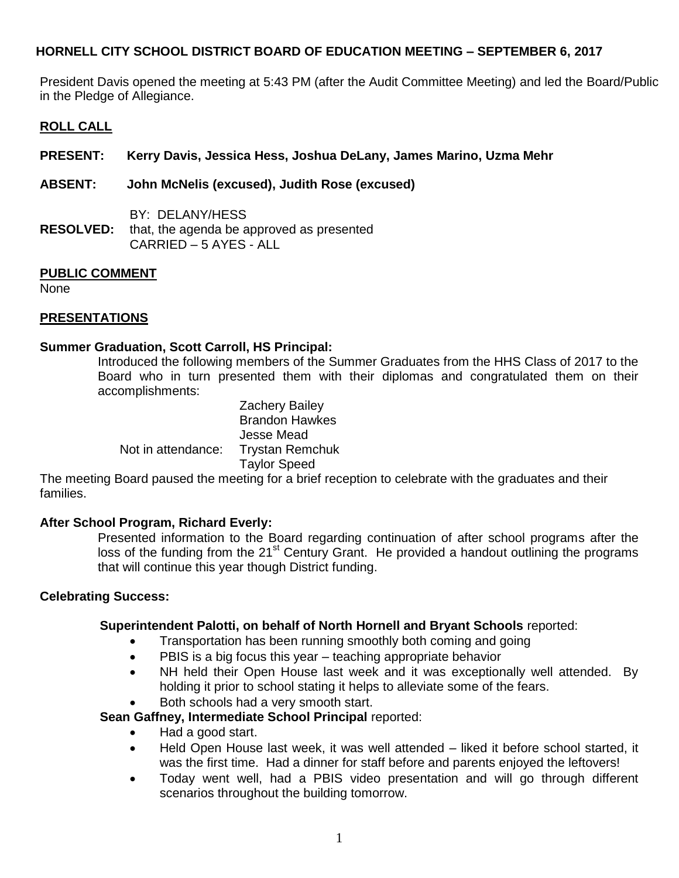President Davis opened the meeting at 5:43 PM (after the Audit Committee Meeting) and led the Board/Public in the Pledge of Allegiance.

### **ROLL CALL**

**PRESENT: Kerry Davis, Jessica Hess, Joshua DeLany, James Marino, Uzma Mehr**

**ABSENT: John McNelis (excused), Judith Rose (excused)**

BY: DELANY/HESS **RESOLVED:** that, the agenda be approved as presented CARRIED – 5 AYES - ALL

### **PUBLIC COMMENT**

None

# **PRESENTATIONS**

#### **Summer Graduation, Scott Carroll, HS Principal:**

Introduced the following members of the Summer Graduates from the HHS Class of 2017 to the Board who in turn presented them with their diplomas and congratulated them on their accomplishments:

Zachery Bailey Brandon Hawkes Jesse Mead Not in attendance: Trystan Remchuk Taylor Speed

The meeting Board paused the meeting for a brief reception to celebrate with the graduates and their families.

#### **After School Program, Richard Everly:**

Presented information to the Board regarding continuation of after school programs after the loss of the funding from the 21<sup>st</sup> Century Grant. He provided a handout outlining the programs that will continue this year though District funding.

#### **Celebrating Success:**

#### **Superintendent Palotti, on behalf of North Hornell and Bryant Schools** reported:

- Transportation has been running smoothly both coming and going
- PBIS is a big focus this year teaching appropriate behavior
- NH held their Open House last week and it was exceptionally well attended. By holding it prior to school stating it helps to alleviate some of the fears.
- Both schools had a very smooth start.

**Sean Gaffney, Intermediate School Principal** reported:

- Had a good start.
- Held Open House last week, it was well attended liked it before school started, it was the first time. Had a dinner for staff before and parents enjoyed the leftovers!
- Today went well, had a PBIS video presentation and will go through different scenarios throughout the building tomorrow.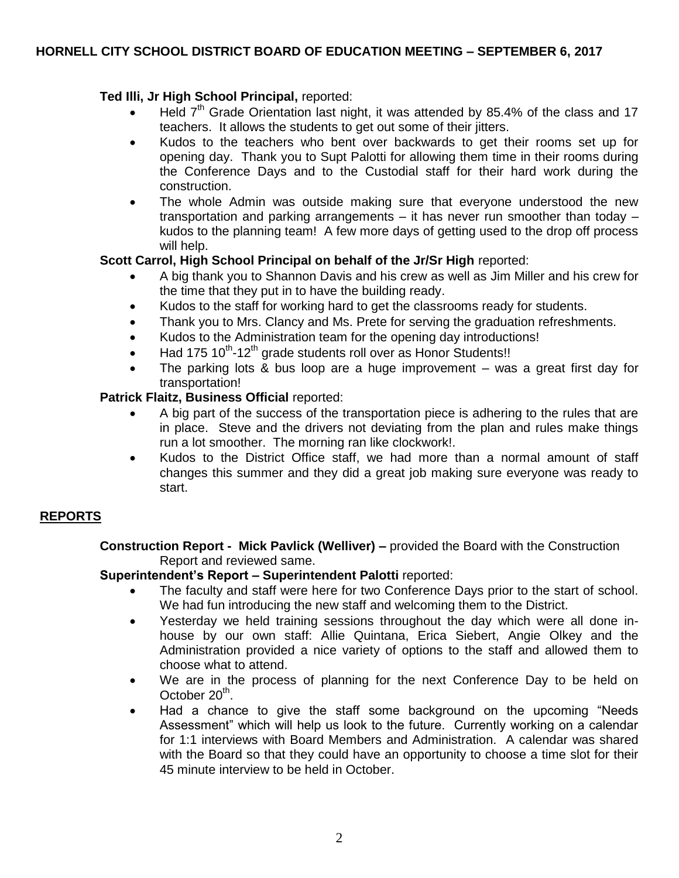# **Ted Illi, Jr High School Principal,** reported:

- Held 7<sup>th</sup> Grade Orientation last night, it was attended by 85.4% of the class and 17 teachers. It allows the students to get out some of their jitters.
- Kudos to the teachers who bent over backwards to get their rooms set up for opening day. Thank you to Supt Palotti for allowing them time in their rooms during the Conference Days and to the Custodial staff for their hard work during the construction.
- The whole Admin was outside making sure that everyone understood the new transportation and parking arrangements – it has never run smoother than today – kudos to the planning team! A few more days of getting used to the drop off process will help.

# **Scott Carrol, High School Principal on behalf of the Jr/Sr High** reported:

- A big thank you to Shannon Davis and his crew as well as Jim Miller and his crew for the time that they put in to have the building ready.
- Kudos to the staff for working hard to get the classrooms ready for students.
- Thank you to Mrs. Clancy and Ms. Prete for serving the graduation refreshments.
- Kudos to the Administration team for the opening day introductions!
- $\bullet$  Had 175 10<sup>th</sup>-12<sup>th</sup> grade students roll over as Honor Students!!
- The parking lots & bus loop are a huge improvement was a great first day for transportation!

# **Patrick Flaitz, Business Official** reported:

- A big part of the success of the transportation piece is adhering to the rules that are in place. Steve and the drivers not deviating from the plan and rules make things run a lot smoother. The morning ran like clockwork!.
- Kudos to the District Office staff, we had more than a normal amount of staff changes this summer and they did a great job making sure everyone was ready to start.

# **REPORTS**

**Construction Report - Mick Pavlick (Welliver) –** provided the Board with the Construction Report and reviewed same.

# **Superintendent's Report – Superintendent Palotti** reported:

- The faculty and staff were here for two Conference Days prior to the start of school. We had fun introducing the new staff and welcoming them to the District.
- Yesterday we held training sessions throughout the day which were all done inhouse by our own staff: Allie Quintana, Erica Siebert, Angie Olkey and the Administration provided a nice variety of options to the staff and allowed them to choose what to attend.
- We are in the process of planning for the next Conference Day to be held on October 20<sup>th</sup>.
- Had a chance to give the staff some background on the upcoming "Needs Assessment" which will help us look to the future. Currently working on a calendar for 1:1 interviews with Board Members and Administration. A calendar was shared with the Board so that they could have an opportunity to choose a time slot for their 45 minute interview to be held in October.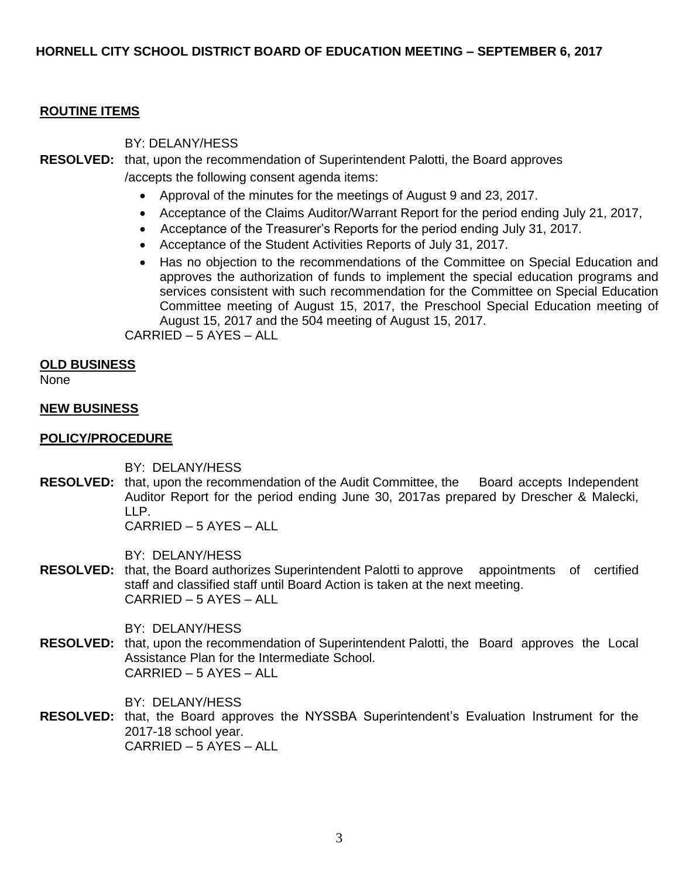### **ROUTINE ITEMS**

### BY: DELANY/HESS

# **RESOLVED:** that, upon the recommendation of Superintendent Palotti, the Board approves /accepts the following consent agenda items:

- Approval of the minutes for the meetings of August 9 and 23, 2017.
- Acceptance of the Claims Auditor/Warrant Report for the period ending July 21, 2017,
- Acceptance of the Treasurer's Reports for the period ending July 31, 2017.
- Acceptance of the Student Activities Reports of July 31, 2017.
- Has no objection to the recommendations of the Committee on Special Education and approves the authorization of funds to implement the special education programs and services consistent with such recommendation for the Committee on Special Education Committee meeting of August 15, 2017, the Preschool Special Education meeting of August 15, 2017 and the 504 meeting of August 15, 2017.

CARRIED – 5 AYES – ALL

### **OLD BUSINESS**

None

### **NEW BUSINESS**

## **POLICY/PROCEDURE**

BY: DELANY/HESS

**RESOLVED:** that, upon the recommendation of the Audit Committee, the Board accepts Independent Auditor Report for the period ending June 30, 2017as prepared by Drescher & Malecki, LLP.

CARRIED – 5 AYES – ALL

BY: DELANY/HESS

**RESOLVED:** that, the Board authorizes Superintendent Palotti to approve appointments of certified staff and classified staff until Board Action is taken at the next meeting. CARRIED – 5 AYES – ALL

BY: DELANY/HESS

**RESOLVED:** that, upon the recommendation of Superintendent Palotti, the Board approves the Local Assistance Plan for the Intermediate School. CARRIED – 5 AYES – ALL

BY: DELANY/HESS

**RESOLVED:** that, the Board approves the NYSSBA Superintendent's Evaluation Instrument for the 2017-18 school year. CARRIED – 5 AYES – ALL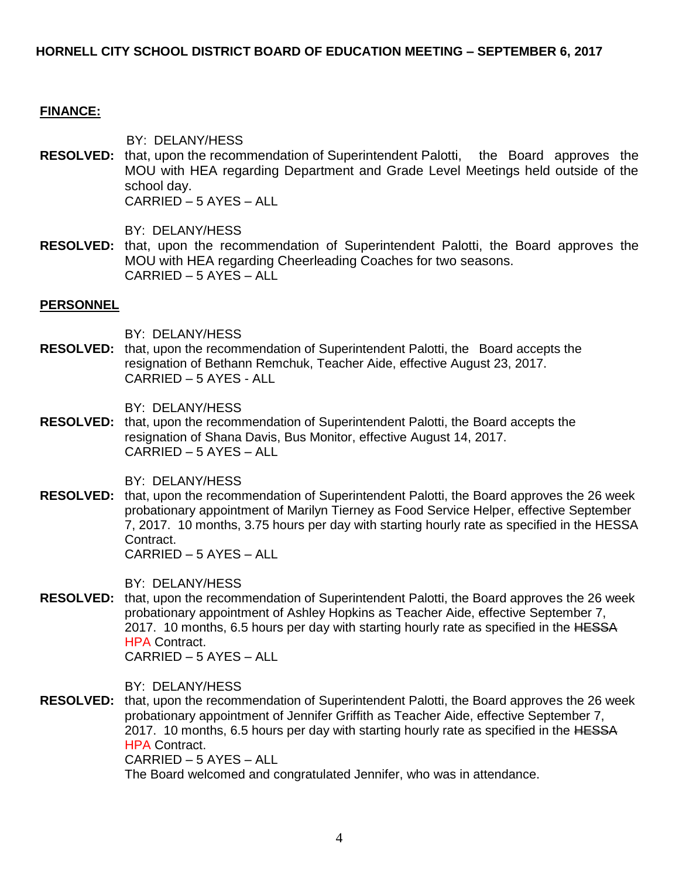#### **FINANCE:**

BY: DELANY/HESS

**RESOLVED:** that, upon the recommendation of Superintendent Palotti, the Board approves the MOU with HEA regarding Department and Grade Level Meetings held outside of the school day. CARRIED – 5 AYES – ALL

BY: DELANY/HESS

**RESOLVED:** that, upon the recommendation of Superintendent Palotti, the Board approves the MOU with HEA regarding Cheerleading Coaches for two seasons. CARRIED – 5 AYES – ALL

#### **PERSONNEL**

BY: DELANY/HESS

**RESOLVED:** that, upon the recommendation of Superintendent Palotti, the Board accepts the resignation of Bethann Remchuk, Teacher Aide, effective August 23, 2017. CARRIED – 5 AYES - ALL

BY: DELANY/HESS

**RESOLVED:** that, upon the recommendation of Superintendent Palotti, the Board accepts the resignation of Shana Davis, Bus Monitor, effective August 14, 2017. CARRIED – 5 AYES – ALL

BY: DELANY/HESS

**RESOLVED:** that, upon the recommendation of Superintendent Palotti, the Board approves the 26 week probationary appointment of Marilyn Tierney as Food Service Helper, effective September 7, 2017. 10 months, 3.75 hours per day with starting hourly rate as specified in the HESSA Contract. CARRIED – 5 AYES – ALL

BY: DELANY/HESS

**RESOLVED:** that, upon the recommendation of Superintendent Palotti, the Board approves the 26 week probationary appointment of Ashley Hopkins as Teacher Aide, effective September 7, 2017. 10 months, 6.5 hours per day with starting hourly rate as specified in the HESSA HPA Contract. CARRIED – 5 AYES – ALL

BY: DELANY/HESS

**RESOLVED:** that, upon the recommendation of Superintendent Palotti, the Board approves the 26 week probationary appointment of Jennifer Griffith as Teacher Aide, effective September 7, 2017. 10 months, 6.5 hours per day with starting hourly rate as specified in the HESSA **HPA Contract.** 

CARRIED – 5 AYES – ALL

The Board welcomed and congratulated Jennifer, who was in attendance.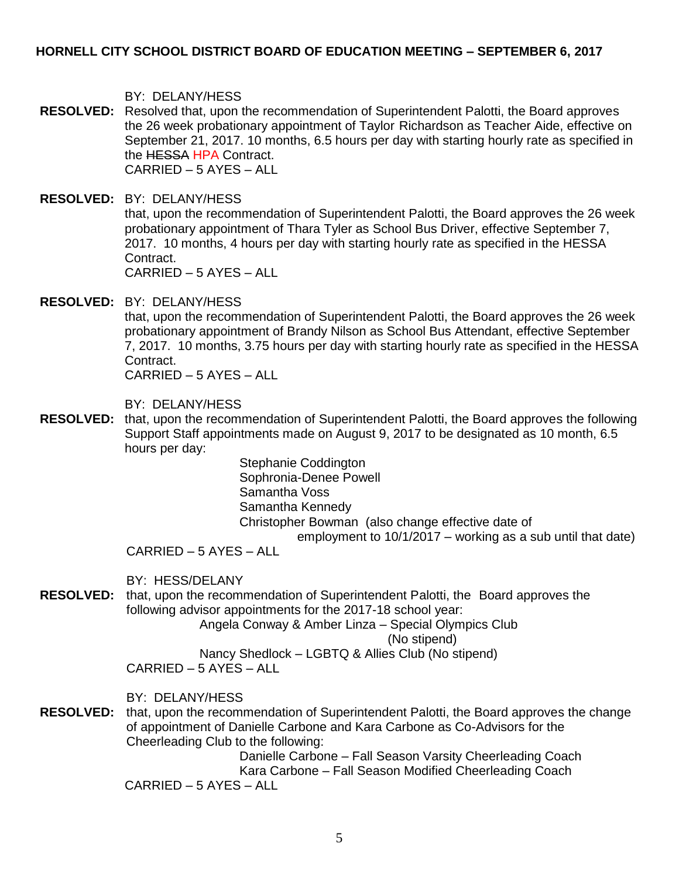BY: DELANY/HESS

- **RESOLVED:** Resolved that, upon the recommendation of Superintendent Palotti, the Board approves the 26 week probationary appointment of Taylor Richardson as Teacher Aide, effective on September 21, 2017. 10 months, 6.5 hours per day with starting hourly rate as specified in the HESSA HPA Contract. CARRIED – 5 AYES – ALL
- **RESOLVED:** BY: DELANY/HESS that, upon the recommendation of Superintendent Palotti, the Board approves the 26 week probationary appointment of Thara Tyler as School Bus Driver, effective September 7, 2017. 10 months, 4 hours per day with starting hourly rate as specified in the HESSA Contract. CARRIED – 5 AYES – ALL

**RESOLVED:** BY: DELANY/HESS

that, upon the recommendation of Superintendent Palotti, the Board approves the 26 week probationary appointment of Brandy Nilson as School Bus Attendant, effective September 7, 2017. 10 months, 3.75 hours per day with starting hourly rate as specified in the HESSA Contract.

CARRIED – 5 AYES – ALL

BY: DELANY/HESS

**RESOLVED:** that, upon the recommendation of Superintendent Palotti, the Board approves the following Support Staff appointments made on August 9, 2017 to be designated as 10 month, 6.5 hours per day:

> Stephanie Coddington Sophronia-Denee Powell Samantha Voss Samantha Kennedy Christopher Bowman (also change effective date of employment to 10/1/2017 – working as a sub until that date)

CARRIED – 5 AYES – ALL

BY: HESS/DELANY

**RESOLVED:** that, upon the recommendation of Superintendent Palotti, the Board approves the following advisor appointments for the 2017-18 school year:

Angela Conway & Amber Linza – Special Olympics Club

(No stipend)

Nancy Shedlock – LGBTQ & Allies Club (No stipend)  $CARRIFD - 5 AYES - ALI$ 

BY: DELANY/HESS

**RESOLVED:** that, upon the recommendation of Superintendent Palotti, the Board approves the change of appointment of Danielle Carbone and Kara Carbone as Co-Advisors for the Cheerleading Club to the following:

Danielle Carbone – Fall Season Varsity Cheerleading Coach Kara Carbone – Fall Season Modified Cheerleading Coach

 $CARRIFD - 5 AYES - ALI$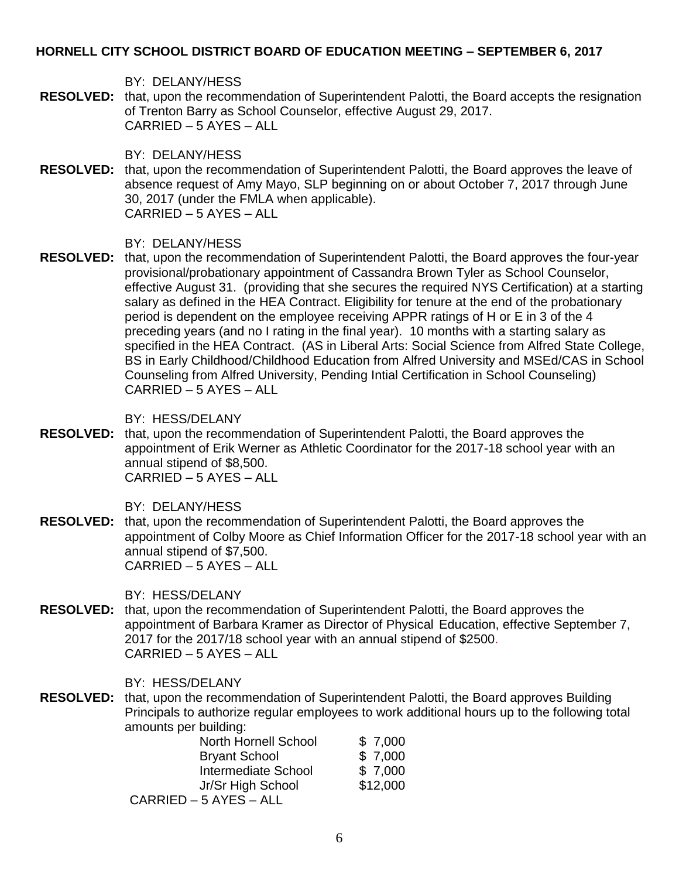BY: DELANY/HESS

**RESOLVED:** that, upon the recommendation of Superintendent Palotti, the Board accepts the resignation of Trenton Barry as School Counselor, effective August 29, 2017. CARRIED – 5 AYES – ALL

BY: DELANY/HESS

**RESOLVED:** that, upon the recommendation of Superintendent Palotti, the Board approves the leave of absence request of Amy Mayo, SLP beginning on or about October 7, 2017 through June 30, 2017 (under the FMLA when applicable). CARRIED – 5 AYES – ALL

BY: DELANY/HESS

**RESOLVED:** that, upon the recommendation of Superintendent Palotti, the Board approves the four-year provisional/probationary appointment of Cassandra Brown Tyler as School Counselor, effective August 31. (providing that she secures the required NYS Certification) at a starting salary as defined in the HEA Contract. Eligibility for tenure at the end of the probationary period is dependent on the employee receiving APPR ratings of H or E in 3 of the 4 preceding years (and no I rating in the final year). 10 months with a starting salary as specified in the HEA Contract. (AS in Liberal Arts: Social Science from Alfred State College, BS in Early Childhood/Childhood Education from Alfred University and MSEd/CAS in School Counseling from Alfred University, Pending Intial Certification in School Counseling) CARRIED – 5 AYES – ALL

BY: HESS/DELANY

**RESOLVED:** that, upon the recommendation of Superintendent Palotti, the Board approves the appointment of Erik Werner as Athletic Coordinator for the 2017-18 school year with an annual stipend of \$8,500. CARRIED – 5 AYES – ALL

BY: DELANY/HESS

**RESOLVED:** that, upon the recommendation of Superintendent Palotti, the Board approves the appointment of Colby Moore as Chief Information Officer for the 2017-18 school year with an annual stipend of \$7,500. CARRIED – 5 AYES – ALL

BY: HESS/DELANY

**RESOLVED:** that, upon the recommendation of Superintendent Palotti, the Board approves the appointment of Barbara Kramer as Director of Physical Education, effective September 7, 2017 for the 2017/18 school year with an annual stipend of \$2500. CARRIED – 5 AYES – ALL

BY: HESS/DELANY

**RESOLVED:** that, upon the recommendation of Superintendent Palotti, the Board approves Building Principals to authorize regular employees to work additional hours up to the following total amounts per building:

| <b>North Hornell School</b> | \$7,000  |
|-----------------------------|----------|
| <b>Bryant School</b>        | \$7,000  |
| Intermediate School         | \$7,000  |
| Jr/Sr High School           | \$12,000 |
| CARRIED – 5 AYES – ALL      |          |
|                             |          |